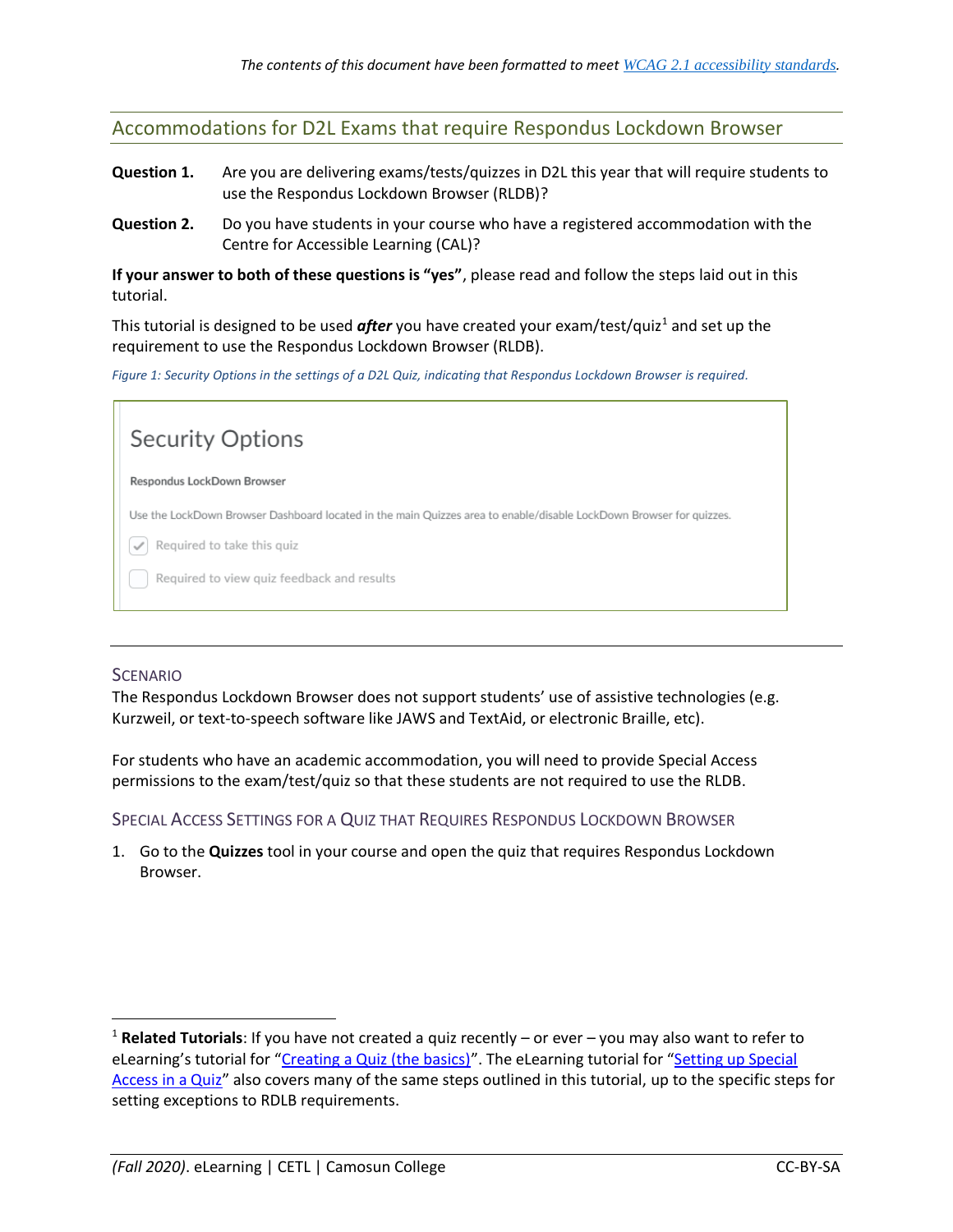Accommodations for D2L Exams that require Respondus Lockdown Browser

- **Question 1.** Are you are delivering exams/tests/quizzes in D2L this year that will require students to use the Respondus Lockdown Browser (RLDB)?
- **Question 2.** Do you have students in your course who have a registered accommodation with the Centre for Accessible Learning (CAL)?

**If your answer to both of these questions is "yes"**, please read and follow the steps laid out in this tutorial.

This tutorial is designed to be used *after* you have created your exam/test/quiz<sup>1</sup> and set up the requirement to use the Respondus Lockdown Browser (RLDB).

*Figure 1: Security Options in the settings of a D2L Quiz, indicating that Respondus Lockdown Browser is required.*



## **SCENARIO**

l

The Respondus Lockdown Browser does not support students' use of assistive technologies (e.g. Kurzweil, or text-to-speech software like JAWS and TextAid, or electronic Braille, etc).

For students who have an academic accommodation, you will need to provide Special Access permissions to the exam/test/quiz so that these students are not required to use the RLDB.

SPECIAL ACCESS SETTINGS FOR A QUIZ THAT REQUIRES RESPONDUS LOCKDOWN BROWSER

1. Go to the **Quizzes** tool in your course and open the quiz that requires Respondus Lockdown Browser.

<sup>1</sup> **Related Tutorials**: If you have not created a quiz recently – or ever – you may also want to refer to eLearning's tutorial for "[Creating a Quiz \(the basics\)](https://elearningtutorialscamosun.opened.ca/wp-content/uploads/sites/1304/2020/08/CreateQuiz-August2020.pdf)". The eLearning tutorial for "Setting up Special [Access in a Quiz](https://elearningtutorialscamosun.opened.ca/wp-content/uploads/sites/1304/2020/09/SettingSpecialAccess-Sept2020.pdf)" also covers many of the same steps outlined in this tutorial, up to the specific steps for setting exceptions to RDLB requirements.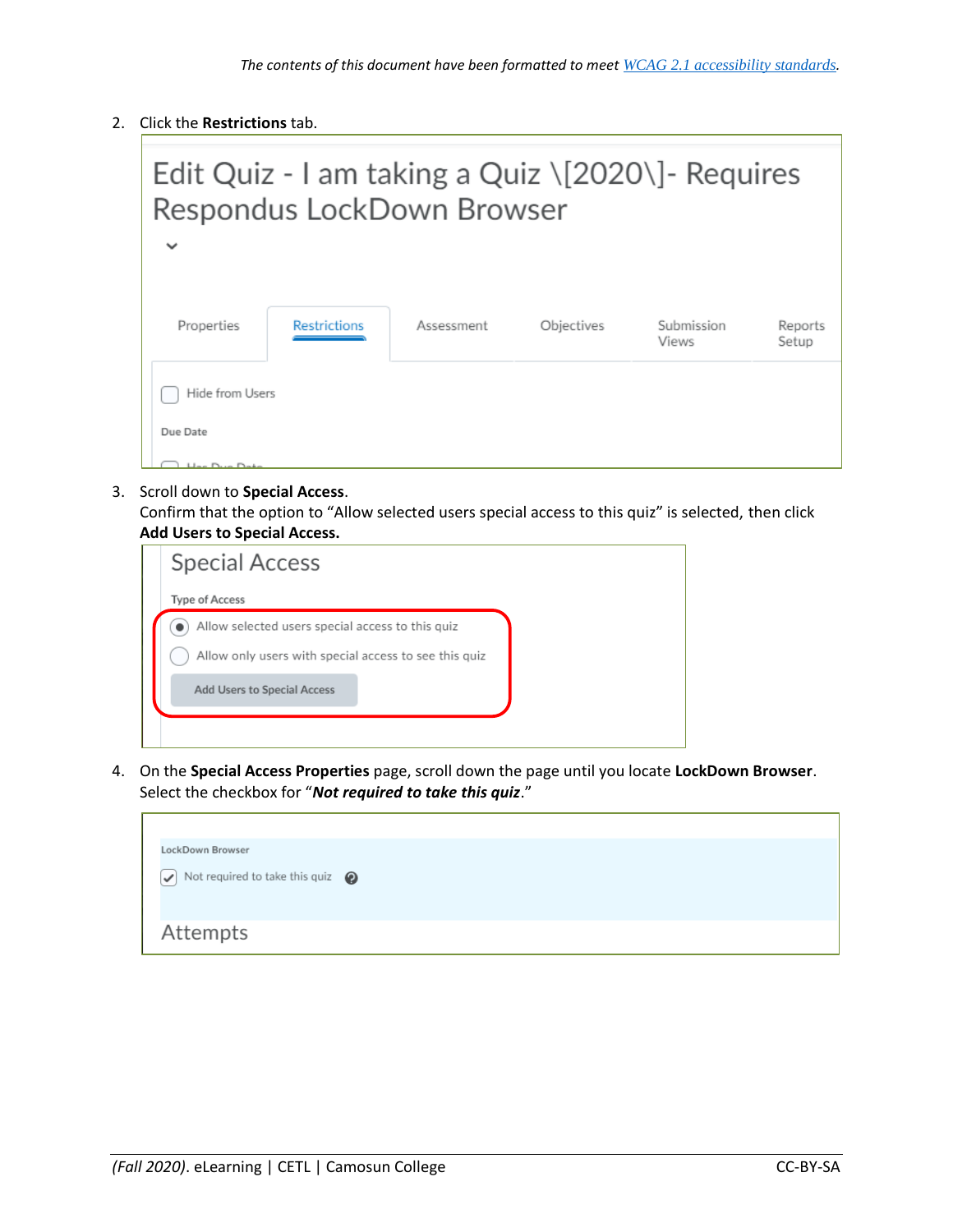2. Click the **Restrictions** tab.

|                 |                     | Edit Quiz - I am taking a Quiz $\[2020\]$ - Requires<br>Respondus LockDown Browser |            |                     |                  |
|-----------------|---------------------|------------------------------------------------------------------------------------|------------|---------------------|------------------|
| $\checkmark$    |                     |                                                                                    |            |                     |                  |
|                 |                     |                                                                                    |            |                     |                  |
| Properties      | <b>Restrictions</b> | Assessment                                                                         | Objectives | Submission<br>Views | Reports<br>Setup |
| Hide from Users |                     |                                                                                    |            |                     |                  |
| Due Date        |                     |                                                                                    |            |                     |                  |
| Hac Dup Dato    |                     |                                                                                    |            |                     |                  |

3. Scroll down to **Special Access**.

Confirm that the option to "Allow selected users special access to this quiz" is selected, then click **Add Users to Special Access.**

| <b>Special Access</b>                                 |  |
|-------------------------------------------------------|--|
| <b>Type of Access</b>                                 |  |
| Allow selected users special access to this quiz      |  |
| Allow only users with special access to see this quiz |  |
| <b>Add Users to Special Access</b>                    |  |
|                                                       |  |
|                                                       |  |

4. On the **Special Access Properties** page, scroll down the page until you locate **LockDown Browser**. Select the checkbox for "*Not required to take this quiz*."